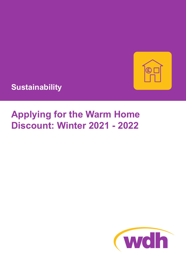

**Sustainability**

# **Applying for the Warm Home Discount: Winter 2021 - 2022**

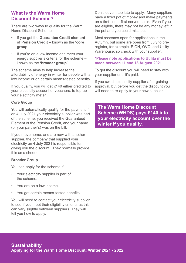# **What is the Warm Home Discount Scheme?**

There are two ways to qualify for the Warm Home Discount Scheme:

- If you get the **Guarantee Credit element of Pension Credit** – known as the **'core group'**.
- If you're on a low income and meet your energy supplier's criteria for the scheme – known as the **'broader group'**.

The scheme aims to help increase the affordability of energy in winter for people with a low income or on certain means-tested benefits.

If you qualify, you will get £140 either credited to your electricity account or vouchers, to top-up your electricity meter.

# **Core Group**

You will automatically qualify for the payment if on 4 July 2021 your electricity supplier was part of the scheme, you received the Guaranteed Element of the Pension Credit, and your name (or your partner's) was on the bill.

If you move home, and are now with another supplier, the company that supplied your electricity on 4 July 2021 is responsible for giving you the discount. They normally provide this as a cheque.

# **Broader Group**

You can apply for the scheme if:

- Your electricity supplier is part of the scheme.
- You are on a low income.
- You get certain means-tested benefits.

You will need to contact your electricity supplier to see if you meet their eligibility criteria, as this can vary slightly between suppliers. They will tell you how to apply.

Don't leave it too late to apply. Many suppliers have a fixed pot of money and make payments on a first-come-first-served basis. Even if you are eligible, there may not be any money left in the pot and you could miss out.

Most schemes open for applications in the Autumn, but some are open from July to preregister, for example, E.ON, OVO, and Utility Warehouse, so check with your supplier.

### **\*Please note applications to Utilita must be made between 11 and 18 August 2021.**

To get the discount you will need to stay with your supplier until it's paid.

If you switch electricity supplier after gaining approval, but before you get the discount you will need to re-apply to your new supplier.

**The Warm Home Discount Scheme (WHDS) pays £140 into your electricity account over the winter if you qualify.**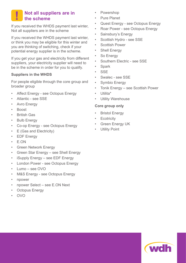#### **Not all suppliers are in the scheme !**

If you received the WHDS payment last winter, Not all suppliers are in the scheme

If you received the WHDS payment last winter, or think you may be eligible for this winter and you are thinking of switching, check if your potential energy supplier is in the scheme.

If you get your gas and electricity from different suppliers, your electricity supplier will need to be in the scheme in order for you to qualify.

# **Suppliers in the WHDS**

For people eligible through the core group and broader group

- Affect Energy see Octopus Energy
- Atlantic see SSE
- **Avro Energy**
- Boost
- British Gas
- **Bulb Energy**
- Co-op Energy see Octopus Energy
- E (Gas and Electricity)
- **EDF Energy**
- E.ON
- **Green Network Energy**
- Green Star Energy see Shell Energy
- iSupply Energy see EDF Energy
- London Power see Octopus Energy
- Lumo see OVO
- M&S Energy see Octopus Energy
- npower
- npower Select see E.ON Next
- **Octopus Energy**
- OVO
- Powershop
- **Pure Planet**
- Quest Energy see Octopus Energy
- Roar Power see Octopus Energy
- Sainsbury's Energy
- Scottish Hydro see SSE
- Scottish Power
- **Shell Energy**
- So Energy
- Southern Electric see SSE
- **Spark**
- **SSE**
- Swalec see SSE
- Symbio Energy
- Tonik Energy see Scottish Power
- Utilita\*
- Utility Warehouse

#### **Core group only**

- **Bristol Energy**
- **Ecotricity**
- Green Energy UK
- **Utility Point**